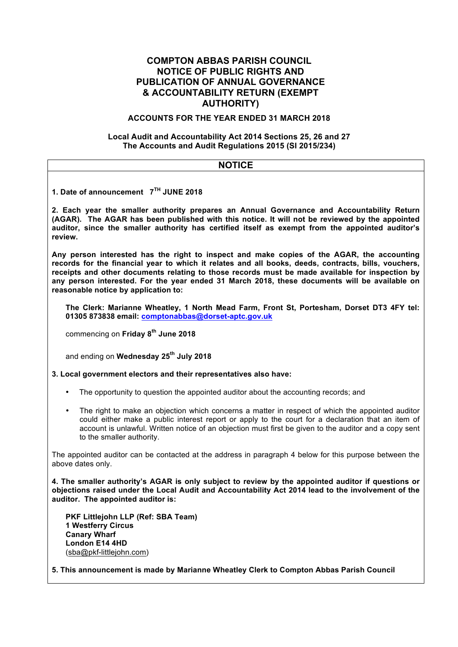### **COMPTON ABBAS PARISH COUNCIL NOTICE OF PUBLIC RIGHTS AND PUBLICATION OF ANNUAL GOVERNANCE & ACCOUNTABILITY RETURN (EXEMPT AUTHORITY)**

#### **ACCOUNTS FOR THE YEAR ENDED 31 MARCH 2018**

#### **Local Audit and Accountability Act 2014 Sections 25, 26 and 27 The Accounts and Audit Regulations 2015 (SI 2015/234)**

| <b>NOTICE</b>                                                                                                                                                                                                                                                                                                                                                                                                                                  |  |  |  |  |
|------------------------------------------------------------------------------------------------------------------------------------------------------------------------------------------------------------------------------------------------------------------------------------------------------------------------------------------------------------------------------------------------------------------------------------------------|--|--|--|--|
|                                                                                                                                                                                                                                                                                                                                                                                                                                                |  |  |  |  |
| 1. Date of announcement 7 <sup>TH</sup> JUNE 2018                                                                                                                                                                                                                                                                                                                                                                                              |  |  |  |  |
| 2. Each year the smaller authority prepares an Annual Governance and Accountability Return<br>(AGAR). The AGAR has been published with this notice. It will not be reviewed by the appointed<br>auditor, since the smaller authority has certified itself as exempt from the appointed auditor's<br>review.                                                                                                                                    |  |  |  |  |
| Any person interested has the right to inspect and make copies of the AGAR, the accounting<br>records for the financial year to which it relates and all books, deeds, contracts, bills, vouchers,<br>receipts and other documents relating to those records must be made available for inspection by<br>any person interested. For the year ended 31 March 2018, these documents will be available on<br>reasonable notice by application to: |  |  |  |  |
| The Clerk: Marianne Wheatley, 1 North Mead Farm, Front St, Portesham, Dorset DT3 4FY tel:<br>01305 873838 email: comptonabbas@dorset-aptc.gov.uk                                                                                                                                                                                                                                                                                               |  |  |  |  |
| commencing on Friday 8 <sup>th</sup> June 2018                                                                                                                                                                                                                                                                                                                                                                                                 |  |  |  |  |
| and ending on Wednesday 25 <sup>th</sup> July 2018                                                                                                                                                                                                                                                                                                                                                                                             |  |  |  |  |
| 3. Local government electors and their representatives also have:                                                                                                                                                                                                                                                                                                                                                                              |  |  |  |  |
| The opportunity to question the appointed auditor about the accounting records; and<br>$\bullet$                                                                                                                                                                                                                                                                                                                                               |  |  |  |  |
| The right to make an objection which concerns a matter in respect of which the appointed auditor<br>$\bullet$<br>could either make a public interest report or apply to the court for a declaration that an item of<br>account is unlawful. Written notice of an objection must first be given to the auditor and a copy sent<br>to the smaller authority.                                                                                     |  |  |  |  |
| The appointed auditor can be contacted at the address in paragraph 4 below for this purpose between the<br>above dates only.                                                                                                                                                                                                                                                                                                                   |  |  |  |  |
| 4. The smaller authority's AGAR is only subject to review by the appointed auditor if questions or<br>objections raised under the Local Audit and Accountability Act 2014 lead to the involvement of the<br>auditor. The appointed auditor is:                                                                                                                                                                                                 |  |  |  |  |
| PKF Littlejohn LLP (Ref: SBA Team)<br><b>1 Westferry Circus</b><br><b>Canary Wharf</b><br><b>London E14 4HD</b><br>(sba@pkf-littlejohn.com)                                                                                                                                                                                                                                                                                                    |  |  |  |  |
| 5. This announcement is made by Marianne Wheatley Clerk to Compton Abbas Parish Council                                                                                                                                                                                                                                                                                                                                                        |  |  |  |  |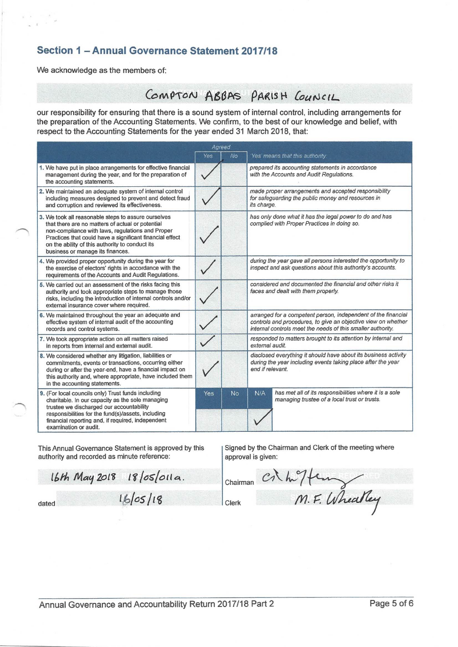# Section 1 - Annual Governance Statement 2017/18

We acknowledge as the members of:

 $\tau = \tau$ 

# COMPTON ABBAS PARISH COUNCIL

our responsibility for ensuring that there is a sound system of internal control, including arrangements for the preparation of the Accounting Statements. We confirm, to the best of our knowledge and belief, with respect to the Accounting Statements for the year ended 31 March 2018, that:

| Agreed                                                                                                                                                                                                                                                                                                         |     |           |                                                                                                                                                                                               |  |
|----------------------------------------------------------------------------------------------------------------------------------------------------------------------------------------------------------------------------------------------------------------------------------------------------------------|-----|-----------|-----------------------------------------------------------------------------------------------------------------------------------------------------------------------------------------------|--|
|                                                                                                                                                                                                                                                                                                                | Yes | No        | 'Yes' means that this authority:                                                                                                                                                              |  |
| 1. We have put in place arrangements for effective financial<br>management during the year, and for the preparation of<br>the accounting statements.                                                                                                                                                           |     |           | prepared its accounting statements in accordance<br>with the Accounts and Audit Regulations.                                                                                                  |  |
| 2. We maintained an adequate system of internal control<br>including measures designed to prevent and detect fraud<br>and corruption and reviewed its effectiveness.                                                                                                                                           |     |           | made proper arrangements and accepted responsibility<br>for safeguarding the public money and resources in<br>its charge.                                                                     |  |
| 3. We took all reasonable steps to assure ourselves<br>that there are no matters of actual or potential<br>non-compliance with laws, regulations and Proper<br>Practices that could have a significant financial effect<br>on the ability of this authority to conduct its<br>business or manage its finances. |     |           | has only done what it has the legal power to do and has<br>complied with Proper Practices in doing so.                                                                                        |  |
| 4. We provided proper opportunity during the year for<br>the exercise of electors' rights in accordance with the<br>requirements of the Accounts and Audit Regulations.                                                                                                                                        |     |           | during the year gave all persons interested the opportunity to<br>inspect and ask questions about this authority's accounts.                                                                  |  |
| 5. We carried out an assessment of the risks facing this<br>authority and took appropriate steps to manage those<br>risks, including the introduction of internal controls and/or<br>external insurance cover where required.                                                                                  |     |           | considered and documented the financial and other risks it<br>faces and dealt with them properly.                                                                                             |  |
| 6. We maintained throughout the year an adequate and<br>effective system of internal audit of the accounting<br>records and control systems.                                                                                                                                                                   |     |           | arranged for a competent person, independent of the financial<br>controls and procedures, to give an objective view on whether<br>internal controls meet the needs of this smaller authority. |  |
| 7. We took appropriate action on all matters raised<br>in reports from internal and external audit.                                                                                                                                                                                                            |     |           | responded to matters brought to its attention by internal and<br>external audit.                                                                                                              |  |
| 8. We considered whether any litigation, liabilities or<br>commitments, events or transactions, occurring either<br>during or after the year-end, have a financial impact on<br>this authority and, where appropriate, have included them<br>in the accounting statements.                                     |     |           | disclosed everything it should have about its business activity<br>during the year including events taking place after the year<br>end if relevant.                                           |  |
| 9. (For local councils only) Trust funds including<br>charitable. In our capacity as the sole managing<br>trustee we discharged our accountability<br>responsibilities for the fund(s)/assets, including<br>financial reporting and, if required, independent<br>examination or audit.                         | Yes | <b>No</b> | has met all of its responsibilities where it is a sole<br>N/A<br>managing trustee of a local trust or trusts.                                                                                 |  |

This Annual Governance Statement is approved by this authority and recorded as minute reference:

Signed by the Chairman and Clerk of the meeting where approval is given:

16th May 2018 18/05/011a.

dated

16/05/18

Clerk

Chairman

Cr highern